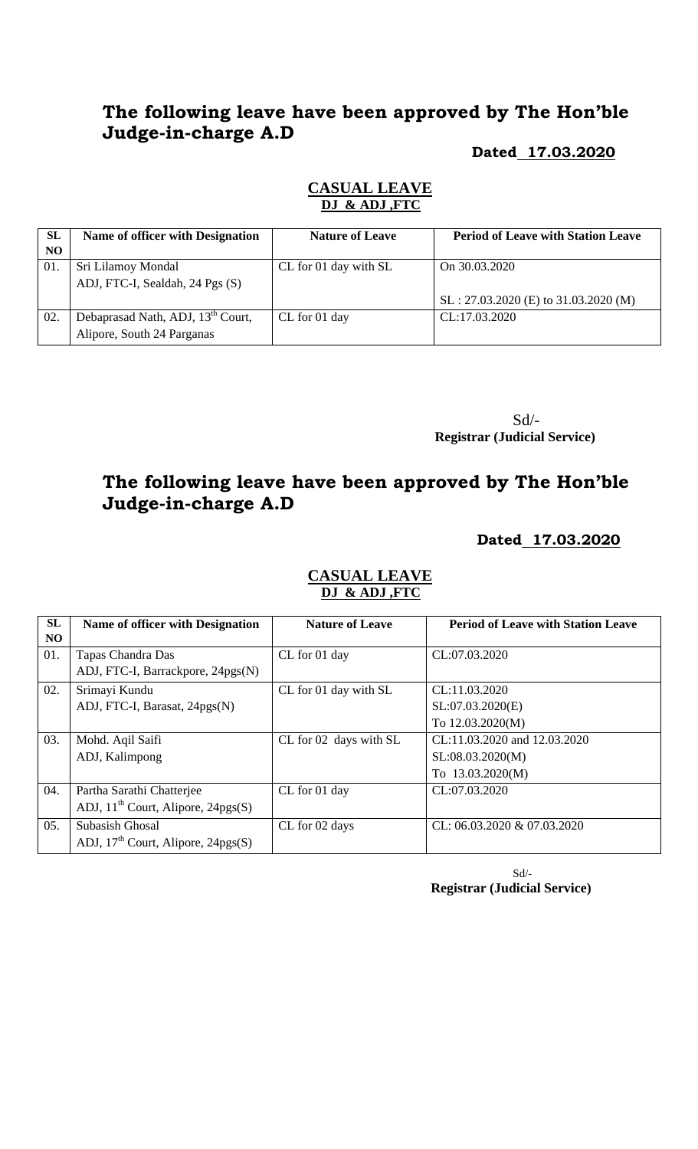# **The following leave have been approved by The Hon'ble Judge-in-charge A.D**

### **Dated 17.03.2020**

### **CASUAL LEAVE DJ & ADJ ,FTC**

| <b>SL</b><br>NO. | <b>Name of officer with Designation</b>       | <b>Nature of Leave</b> | <b>Period of Leave with Station Leave</b> |
|------------------|-----------------------------------------------|------------------------|-------------------------------------------|
|                  |                                               |                        |                                           |
| 01.              | Sri Lilamoy Mondal                            | CL for 01 day with SL  | On 30.03.2020                             |
|                  | ADJ, FTC-I, Sealdah, 24 Pgs (S)               |                        |                                           |
|                  |                                               |                        | $SL: 27.03.2020$ (E) to 31.03.2020 (M)    |
| 02.              | Debaprasad Nath, ADJ, 13 <sup>th</sup> Court, | CL for 01 day          | CL:17.03.2020                             |
|                  | Alipore, South 24 Parganas                    |                        |                                           |

 Sd/- **Registrar (Judicial Service)**

# **The following leave have been approved by The Hon'ble Judge-in-charge A.D**

## **Dated 17.03.2020**

| SL<br>NO. | <b>Name of officer with Designation</b>                                | <b>Nature of Leave</b> | <b>Period of Leave with Station Leave</b>                            |
|-----------|------------------------------------------------------------------------|------------------------|----------------------------------------------------------------------|
| 01.       | Tapas Chandra Das<br>ADJ, FTC-I, Barrackpore, 24pgs(N)                 | CL for 01 day          | CL:07.03.2020                                                        |
| 02.       | Srimayi Kundu<br>ADJ, FTC-I, Barasat, 24pgs(N)                         | CL for 01 day with SL  | CL:11.03.2020<br>SL:07.03.2020(E)<br>To 12.03.2020(M)                |
| 03.       | Mohd. Aqil Saifi<br>ADJ, Kalimpong                                     | CL for 02 days with SL | CL:11.03.2020 and 12.03.2020<br>SL:08.03.2020(M)<br>To 13.03.2020(M) |
| 04.       | Partha Sarathi Chatterjee<br>ADJ, $11^{th}$ Court, Alipore, $24pgs(S)$ | CL for 01 day          | CL:07.03.2020                                                        |
| 05.       | Subasish Ghosal<br>ADJ, $17th$ Court, Alipore, $24pgs(S)$              | CL for 02 days         | CL: 06.03.2020 & 07.03.2020                                          |

## **CASUAL LEAVE DJ & ADJ ,FTC**

 Sd/- **Registrar (Judicial Service)**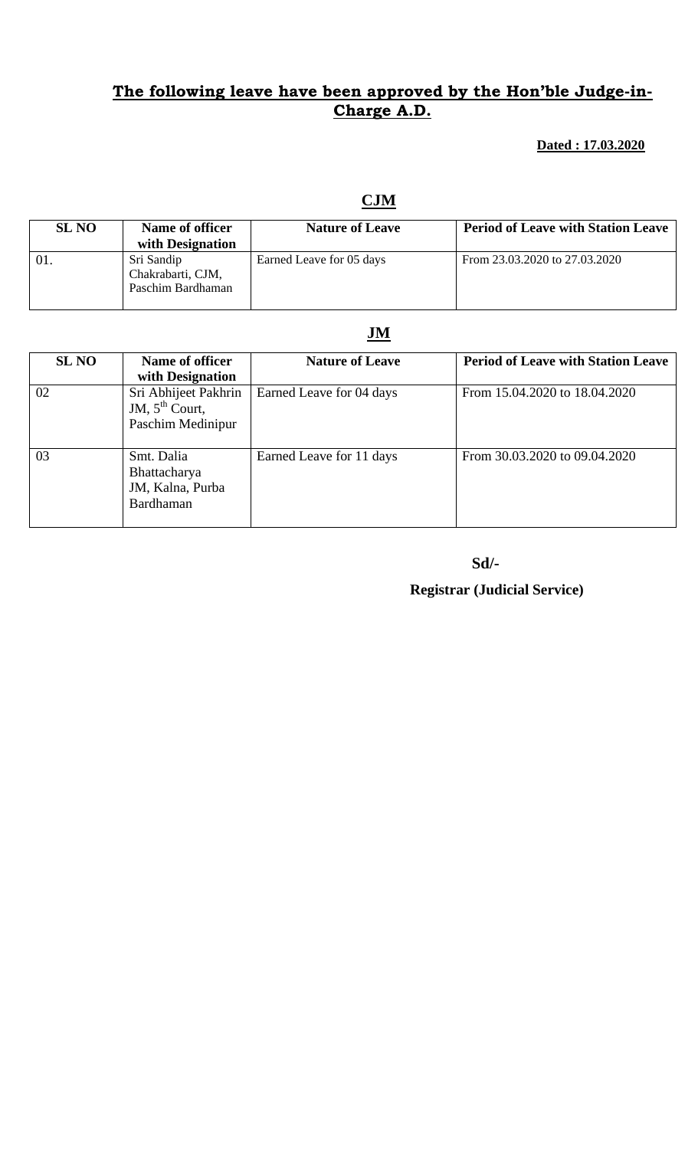## **The following leave have been approved by the Hon'ble Judge-in-Charge A.D.**

### **Dated : 17.03.2020**

## **CJM**

| <b>SL NO</b> | Name of officer<br>with Designation                  | <b>Nature of Leave</b>   | <b>Period of Leave with Station Leave</b> |
|--------------|------------------------------------------------------|--------------------------|-------------------------------------------|
| -01          | Sri Sandip<br>Chakrabarti, CJM,<br>Paschim Bardhaman | Earned Leave for 05 days | From 23.03.2020 to 27.03.2020             |

# **JM**

| <b>SL NO</b> | Name of officer<br>with Designation                                     | <b>Nature of Leave</b>   | <b>Period of Leave with Station Leave</b> |
|--------------|-------------------------------------------------------------------------|--------------------------|-------------------------------------------|
| 02           | Sri Abhijeet Pakhrin<br>JM, $5^{\text{th}}$ Court,<br>Paschim Medinipur | Earned Leave for 04 days | From 15.04.2020 to 18.04.2020             |
| 03           | Smt. Dalia<br>Bhattacharya<br>JM, Kalna, Purba<br>Bardhaman             | Earned Leave for 11 days | From 30.03.2020 to 09.04.2020             |

 **Sd/-** 

# **Registrar (Judicial Service)**